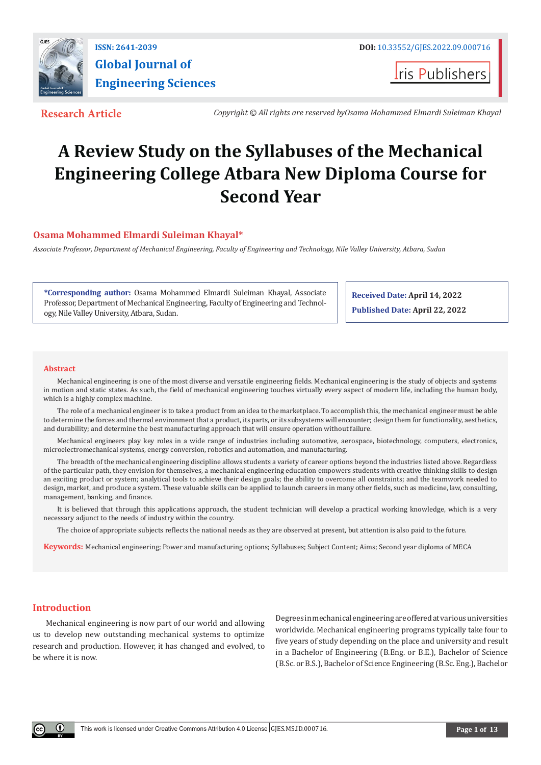

**I**ris Publishers

**Research Article** *Copyright © All rights are reserved byOsama Mohammed Elmardi Suleiman Khayal*

# **A Review Study on the Syllabuses of the Mechanical Engineering College Atbara New Diploma Course for Second Year**

# **Osama Mohammed Elmardi Suleiman Khayal\***

*Associate Professor, Department of Mechanical Engineering, Faculty of Engineering and Technology, Nile Valley University, Atbara, Sudan*

**\*Corresponding author:** Osama Mohammed Elmardi Suleiman Khayal, Associate Professor, Department of Mechanical Engineering, Faculty of Engineering and Technology, Nile Valley University, Atbara, Sudan.

**Received Date: April 14, 2022 Published Date: April 22, 2022**

#### **Abstract**

Mechanical engineering is one of the most diverse and versatile engineering fields. Mechanical engineering is the study of objects and systems in motion and static states. As such, the field of mechanical engineering touches virtually every aspect of modern life, including the human body, which is a highly complex machine.

The role of a mechanical engineer is to take a product from an idea to the marketplace. To accomplish this, the mechanical engineer must be able to determine the forces and thermal environment that a product, its parts, or its subsystems will encounter; design them for functionality, aesthetics, and durability; and determine the best manufacturing approach that will ensure operation without failure.

Mechanical engineers play key roles in a wide range of industries including automotive, aerospace, biotechnology, computers, electronics, microelectromechanical systems, energy conversion, robotics and automation, and manufacturing.

The breadth of the mechanical engineering discipline allows students a variety of career options beyond the industries listed above. Regardless of the particular path, they envision for themselves, a mechanical engineering education empowers students with creative thinking skills to design an exciting product or system; analytical tools to achieve their design goals; the ability to overcome all constraints; and the teamwork needed to design, market, and produce a system. These valuable skills can be applied to launch careers in many other fields, such as medicine, law, consulting, management, banking, and finance.

It is believed that through this applications approach, the student technician will develop a practical working knowledge, which is a very necessary adjunct to the needs of industry within the country.

The choice of appropriate subjects reflects the national needs as they are observed at present, but attention is also paid to the future.

**Keywords:** Mechanical engineering; Power and manufacturing options; Syllabuses; Subject Content; Aims; Second year diploma of MECA

# **Introduction**

Mechanical engineering is now part of our world and allowing us to develop new outstanding mechanical systems to optimize research and production. However, it has changed and evolved, to be where it is now.

Degrees in mechanical engineering are offered at various universities worldwide. Mechanical engineering programs typically take four to five years of study depending on the place and university and result in a Bachelor of Engineering (B.Eng. or B.E.), Bachelor of Science (B.Sc. or B.S.), Bachelor of Science Engineering (B.Sc. Eng.), Bachelor

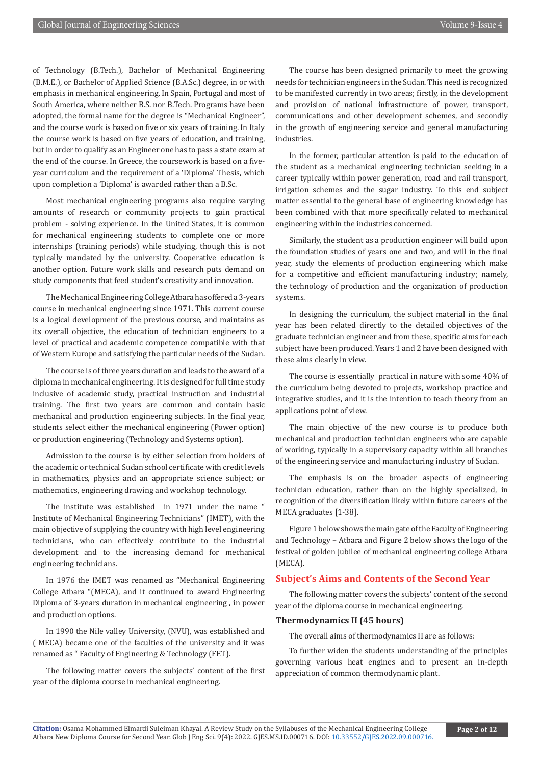of Technology (B.Tech.), Bachelor of Mechanical Engineering (B.M.E.), or Bachelor of Applied Science (B.A.Sc.) degree, in or with emphasis in mechanical engineering. In Spain, Portugal and most of South America, where neither B.S. nor B.Tech. Programs have been adopted, the formal name for the degree is "Mechanical Engineer", and the course work is based on five or six years of training. In Italy the course work is based on five years of education, and training, but in order to qualify as an Engineer one has to pass a state exam at the end of the course. In Greece, the coursework is based on a fiveyear curriculum and the requirement of a 'Diploma' Thesis, which upon completion a 'Diploma' is awarded rather than a B.Sc.

Most mechanical engineering programs also require varying amounts of research or community projects to gain practical problem - solving experience. In the United States, it is common for mechanical engineering students to complete one or more internships (training periods) while studying, though this is not typically mandated by the university. Cooperative education is another option. Future work skills and research puts demand on study components that feed student's creativity and innovation.

The Mechanical Engineering College Atbara has offered a 3-years course in mechanical engineering since 1971. This current course is a logical development of the previous course, and maintains as its overall objective, the education of technician engineers to a level of practical and academic competence compatible with that of Western Europe and satisfying the particular needs of the Sudan.

The course is of three years duration and leads to the award of a diploma in mechanical engineering. It is designed for full time study inclusive of academic study, practical instruction and industrial training. The first two years are common and contain basic mechanical and production engineering subjects. In the final year, students select either the mechanical engineering (Power option) or production engineering (Technology and Systems option).

Admission to the course is by either selection from holders of the academic or technical Sudan school certificate with credit levels in mathematics, physics and an appropriate science subject; or mathematics, engineering drawing and workshop technology.

The institute was established in 1971 under the name " Institute of Mechanical Engineering Technicians" (IMET), with the main objective of supplying the country with high level engineering technicians, who can effectively contribute to the industrial development and to the increasing demand for mechanical engineering technicians.

In 1976 the IMET was renamed as "Mechanical Engineering College Atbara "(MECA), and it continued to award Engineering Diploma of 3-years duration in mechanical engineering , in power and production options.

In 1990 the Nile valley University, (NVU), was established and ( MECA) became one of the faculties of the university and it was renamed as " Faculty of Engineering & Technology (FET).

The following matter covers the subjects' content of the first year of the diploma course in mechanical engineering.

The course has been designed primarily to meet the growing needs for technician engineers in the Sudan. This need is recognized to be manifested currently in two areas; firstly, in the development and provision of national infrastructure of power, transport, communications and other development schemes, and secondly in the growth of engineering service and general manufacturing industries.

In the former, particular attention is paid to the education of the student as a mechanical engineering technician seeking in a career typically within power generation, road and rail transport, irrigation schemes and the sugar industry. To this end subject matter essential to the general base of engineering knowledge has been combined with that more specifically related to mechanical engineering within the industries concerned.

Similarly, the student as a production engineer will build upon the foundation studies of years one and two, and will in the final year, study the elements of production engineering which make for a competitive and efficient manufacturing industry; namely, the technology of production and the organization of production systems.

In designing the curriculum, the subject material in the final year has been related directly to the detailed objectives of the graduate technician engineer and from these, specific aims for each subject have been produced. Years 1 and 2 have been designed with these aims clearly in view.

The course is essentially practical in nature with some 40% of the curriculum being devoted to projects, workshop practice and integrative studies, and it is the intention to teach theory from an applications point of view.

The main objective of the new course is to produce both mechanical and production technician engineers who are capable of working, typically in a supervisory capacity within all branches of the engineering service and manufacturing industry of Sudan.

The emphasis is on the broader aspects of engineering technician education, rather than on the highly specialized, in recognition of the diversification likely within future careers of the MECA graduates [1-38].

Figure 1 below shows the main gate of the Faculty of Engineering and Technology – Atbara and Figure 2 below shows the logo of the festival of golden jubilee of mechanical engineering college Atbara (MECA).

#### **Subject's Aims and Contents of the Second Year**

The following matter covers the subjects' content of the second year of the diploma course in mechanical engineering.

# **Thermodynamics II (45 hours)**

The overall aims of thermodynamics II are as follows:

To further widen the students understanding of the principles governing various heat engines and to present an in-depth appreciation of common thermodynamic plant.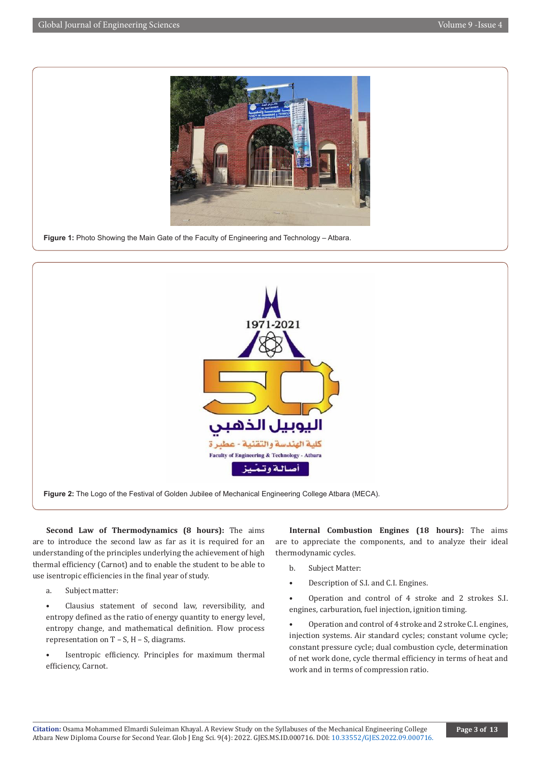

**Figure 1:** Photo Showing the Main Gate of the Faculty of Engineering and Technology – Atbara.



**Figure 2:** The Logo of the Festival of Golden Jubilee of Mechanical Engineering College Atbara (MECA).

**Second Law of Thermodynamics (8 hours):** The aims are to introduce the second law as far as it is required for an understanding of the principles underlying the achievement of high thermal efficiency (Carnot) and to enable the student to be able to use isentropic efficiencies in the final year of study.

- a. Subject matter:
- Clausius statement of second law, reversibility, and entropy defined as the ratio of energy quantity to energy level, entropy change, and mathematical definition. Flow process representation on  $T - S$ ,  $H - S$ , diagrams.
- Isentropic efficiency. Principles for maximum thermal efficiency, Carnot.

**Internal Combustion Engines (18 hours):** The aims are to appreciate the components, and to analyze their ideal thermodynamic cycles.

- b. Subject Matter:
- Description of S.I. and C.I. Engines.

• Operation and control of 4 stroke and 2 strokes S.I. engines, carburation, fuel injection, ignition timing.

• Operation and control of 4 stroke and 2 stroke C.I. engines, injection systems. Air standard cycles; constant volume cycle; constant pressure cycle; dual combustion cycle, determination of net work done, cycle thermal efficiency in terms of heat and work and in terms of compression ratio.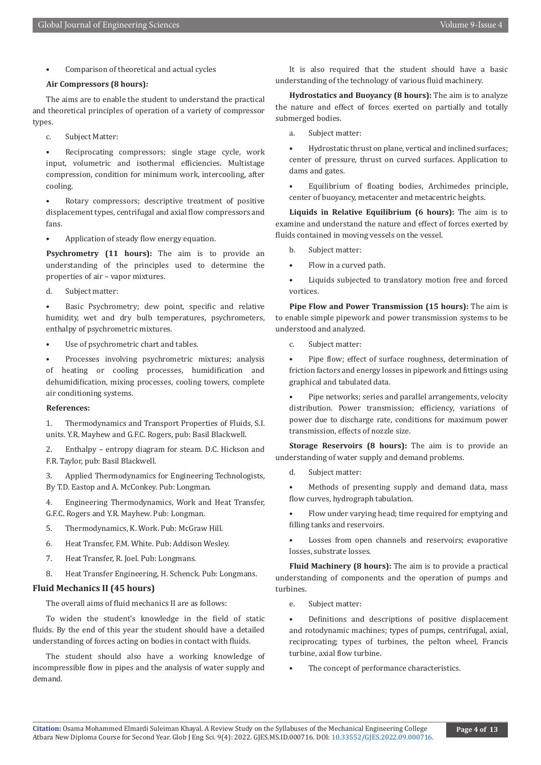• Comparison of theoretical and actual cycles

#### **Air Compressors (8 hours):**

The aims are to enable the student to understand the practical and theoretical principles of operation of a variety of compressor types.

c. Subject Matter:

Reciprocating compressors; single stage cycle, work input, volumetric and isothermal efficiencies. Multistage compression, condition for minimum work, intercooling, after cooling.

Rotary compressors; descriptive treatment of positive displacement types, centrifugal and axial flow compressors and fans.

• Application of steady flow energy equation.

**Psychrometry (11 hours):** The aim is to provide an understanding of the principles used to determine the properties of air – vapor mixtures.

d. Subject matter:

Basic Psychrometry; dew point, specific and relative humidity, wet and dry bulb temperatures, psychrometers, enthalpy of psychrometric mixtures.

Use of psychrometric chart and tables.

• Processes involving psychrometric mixtures; analysis of heating or cooling processes, humidification and dehumidification, mixing processes, cooling towers, complete air conditioning systems.

#### **References:**

1. Thermodynamics and Transport Properties of Fluids, S.I. units. Y.R. Mayhew and G.F.C. Rogers, pub: Basil Blackwell.

2. Enthalpy – entropy diagram for steam. D.C. Hickson and F.R. Taylor, pub: Basil Blackwell.

3. Applied Thermodynamics for Engineering Technologists, By T.D. Eastop and A. McConkey. Pub: Longman.

4. Engineering Thermodynamics, Work and Heat Transfer, G.F.C. Rogers and Y.R. Mayhew. Pub: Longman.

- 5. Thermodynamics, K. Work. Pub: McGraw Hill.
- 6. Heat Transfer, F.M. White. Pub: Addison Wesley.
- 7. Heat Transfer, R. Joel. Pub: Longmans.
- 8. Heat Transfer Engineering, H. Schenck. Pub: Longmans.

#### **Fluid Mechanics II (45 hours)**

The overall aims of fluid mechanics II are as follows:

To widen the student's knowledge in the field of static fluids. By the end of this year the student should have a detailed understanding of forces acting on bodies in contact with fluids.

The student should also have a working knowledge of incompressible flow in pipes and the analysis of water supply and demand.

It is also required that the student should have a basic understanding of the technology of various fluid machinery.

**Hydrostatics and Buoyancy (8 hours):** The aim is to analyze the nature and effect of forces exerted on partially and totally submerged bodies.

a. Subject matter:

• Hydrostatic thrust on plane, vertical and inclined surfaces; center of pressure, thrust on curved surfaces. Application to dams and gates.

• Equilibrium of floating bodies, Archimedes principle, center of buoyancy, metacenter and metacentric heights.

**Liquids in Relative Equilibrium (6 hours):** The aim is to examine and understand the nature and effect of forces exerted by fluids contained in moving vessels on the vessel.

b. Subject matter:

• Flow in a curved path.

Liquids subjected to translatory motion free and forced vortices.

**Pipe Flow and Power Transmission (15 hours):** The aim is to enable simple pipework and power transmission systems to be understood and analyzed.

c. Subject matter:

• Pipe flow; effect of surface roughness, determination of friction factors and energy losses in pipework and fittings using graphical and tabulated data.

• Pipe networks; series and parallel arrangements, velocity distribution. Power transmission; efficiency, variations of power due to discharge rate, conditions for maximum power transmission, effects of nozzle size.

**Storage Reservoirs (8 hours):** The aim is to provide an understanding of water supply and demand problems.

d. Subject matter:

Methods of presenting supply and demand data, mass flow curves, hydrograph tabulation.

• Flow under varying head; time required for emptying and filling tanks and reservoirs.

Losses from open channels and reservoirs; evaporative losses, substrate losses.

**Fluid Machinery (8 hours):** The aim is to provide a practical understanding of components and the operation of pumps and turbines.

e. Subject matter:

• Definitions and descriptions of positive displacement and rotodynamic machines; types of pumps, centrifugal, axial, reciprocating; types of turbines, the pelton wheel, Francis turbine, axial flow turbine.

The concept of performance characteristics.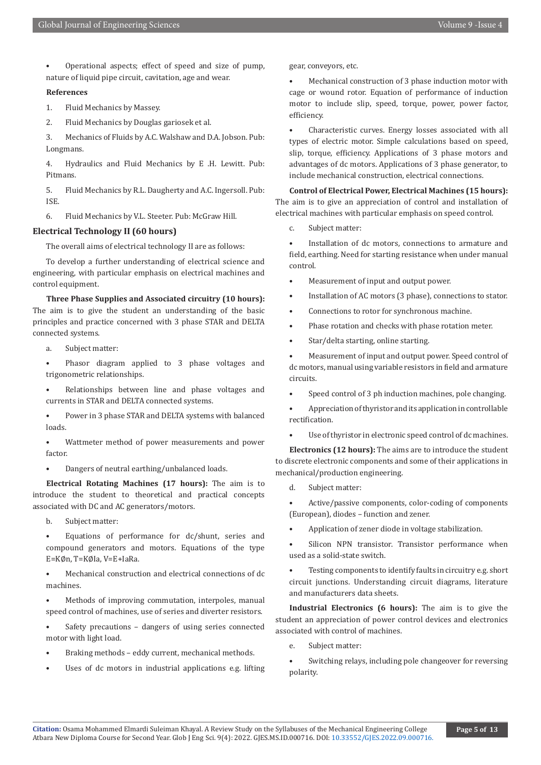• Operational aspects; effect of speed and size of pump, nature of liquid pipe circuit, cavitation, age and wear.

#### **References**

1. Fluid Mechanics by Massey.

2. Fluid Mechanics by Douglas gariosek et al.

3. Mechanics of Fluids by A.C. Walshaw and D.A. Jobson. Pub: Longmans.

4. Hydraulics and Fluid Mechanics by E .H. Lewitt. Pub: Pitmans.

5. Fluid Mechanics by R.L. Daugherty and A.C. Ingersoll. Pub: ISE.

6. Fluid Mechanics by V.L. Steeter. Pub: McGraw Hill.

#### **Electrical Technology II (60 hours)**

The overall aims of electrical technology II are as follows:

To develop a further understanding of electrical science and engineering, with particular emphasis on electrical machines and control equipment.

**Three Phase Supplies and Associated circuitry (10 hours):** The aim is to give the student an understanding of the basic principles and practice concerned with 3 phase STAR and DELTA connected systems.

a. Subject matter:

• Phasor diagram applied to 3 phase voltages and trigonometric relationships.

Relationships between line and phase voltages and currents in STAR and DELTA connected systems.

• Power in 3 phase STAR and DELTA systems with balanced loads.

Wattmeter method of power measurements and power factor.

• Dangers of neutral earthing/unbalanced loads.

**Electrical Rotating Machines (17 hours):** The aim is to introduce the student to theoretical and practical concepts associated with DC and AC generators/motors.

b. Subject matter:

• Equations of performance for dc/shunt, series and compound generators and motors. Equations of the type E=K∅n, T=K∅Ia, V=E+IaRa.

• Mechanical construction and electrical connections of dc machines.

Methods of improving commutation, interpoles, manual speed control of machines, use of series and diverter resistors.

Safety precautions - dangers of using series connected motor with light load.

• Braking methods – eddy current, mechanical methods.

Uses of dc motors in industrial applications e.g. lifting

gear, conveyors, etc.

Mechanical construction of 3 phase induction motor with cage or wound rotor. Equation of performance of induction motor to include slip, speed, torque, power, power factor, efficiency.

• Characteristic curves. Energy losses associated with all types of electric motor. Simple calculations based on speed, slip, torque, efficiency. Applications of 3 phase motors and advantages of dc motors. Applications of 3 phase generator, to include mechanical construction, electrical connections.

**Control of Electrical Power, Electrical Machines (15 hours):** The aim is to give an appreciation of control and installation of electrical machines with particular emphasis on speed control.

c. Subject matter:

Installation of dc motors, connections to armature and field, earthing. Need for starting resistance when under manual control.

• Measurement of input and output power.

- Installation of AC motors (3 phase), connections to stator.
- Connections to rotor for synchronous machine.
- Phase rotation and checks with phase rotation meter.
- Star/delta starting, online starting.

• Measurement of input and output power. Speed control of dc motors, manual using variable resistors in field and armature circuits.

- Speed control of 3 ph induction machines, pole changing.
- Appreciation of thyristor and its application in controllable rectification.

Use of thyristor in electronic speed control of dc machines.

**Electronics (12 hours):** The aims are to introduce the student to discrete electronic components and some of their applications in mechanical/production engineering.

d. Subject matter:

• Active/passive components, color-coding of components (European), diodes – function and zener.

• Application of zener diode in voltage stabilization.

Silicon NPN transistor. Transistor performance when used as a solid-state switch.

Testing components to identify faults in circuitry e.g. short circuit junctions. Understanding circuit diagrams, literature and manufacturers data sheets.

**Industrial Electronics (6 hours):** The aim is to give the student an appreciation of power control devices and electronics associated with control of machines.

e. Subject matter:

Switching relays, including pole changeover for reversing polarity.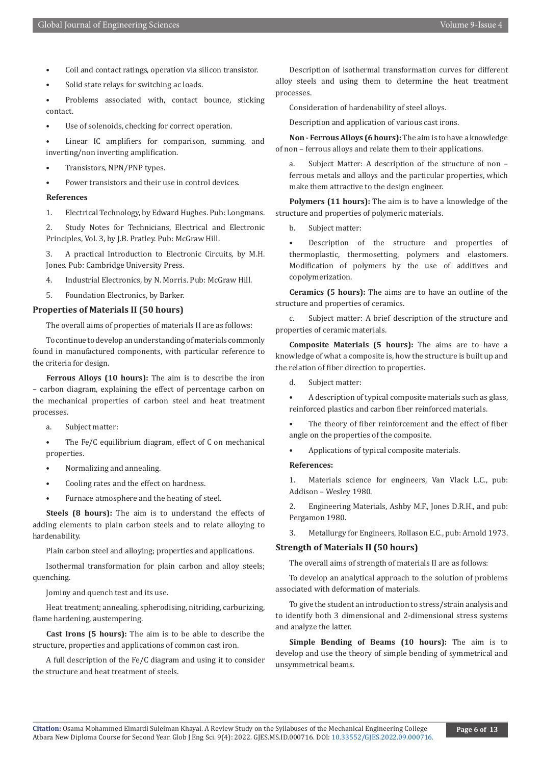- Coil and contact ratings, operation via silicon transistor.
- Solid state relays for switching ac loads.

Problems associated with, contact bounce, sticking contact.

Use of solenoids, checking for correct operation.

Linear IC amplifiers for comparison, summing, and inverting/non inverting amplification.

- Transistors, NPN/PNP types.
- Power transistors and their use in control devices.

#### **References**

1. Electrical Technology, by Edward Hughes. Pub: Longmans.

2. Study Notes for Technicians, Electrical and Electronic Principles, Vol. 3, by J.B. Pratley. Pub: McGraw Hill.

3. A practical Introduction to Electronic Circuits, by M.H. Jones. Pub: Cambridge University Press.

4. Industrial Electronics, by N. Morris. Pub: McGraw Hill.

5. Foundation Electronics, by Barker.

**Properties of Materials II (50 hours)**

The overall aims of properties of materials II are as follows:

To continue to develop an understanding of materials commonly found in manufactured components, with particular reference to the criteria for design.

**Ferrous Alloys (10 hours):** The aim is to describe the iron – carbon diagram, explaining the effect of percentage carbon on the mechanical properties of carbon steel and heat treatment processes.

a. Subject matter:

The Fe/C equilibrium diagram, effect of C on mechanical properties.

- Normalizing and annealing.
- Cooling rates and the effect on hardness.
- Furnace atmosphere and the heating of steel.

**Steels (8 hours):** The aim is to understand the effects of adding elements to plain carbon steels and to relate alloying to hardenability.

Plain carbon steel and alloying; properties and applications.

Isothermal transformation for plain carbon and alloy steels; quenching.

Jominy and quench test and its use.

Heat treatment; annealing, spherodising, nitriding, carburizing, flame hardening, austempering.

**Cast Irons (5 hours):** The aim is to be able to describe the structure, properties and applications of common cast iron.

A full description of the Fe/C diagram and using it to consider the structure and heat treatment of steels.

Description of isothermal transformation curves for different alloy steels and using them to determine the heat treatment processes.

Consideration of hardenability of steel alloys.

Description and application of various cast irons.

**Non - Ferrous Alloys (6 hours):** The aim is to have a knowledge of non – ferrous alloys and relate them to their applications.

a. Subject Matter: A description of the structure of non – ferrous metals and alloys and the particular properties, which make them attractive to the design engineer.

**Polymers (11 hours):** The aim is to have a knowledge of the structure and properties of polymeric materials.

b. Subject matter:

Description of the structure and properties of thermoplastic, thermosetting, polymers and elastomers. Modification of polymers by the use of additives and copolymerization.

**Ceramics (5 hours):** The aims are to have an outline of the structure and properties of ceramics.

c. Subject matter: A brief description of the structure and properties of ceramic materials.

**Composite Materials (5 hours):** The aims are to have a knowledge of what a composite is, how the structure is built up and the relation of fiber direction to properties.

d. Subject matter:

• A description of typical composite materials such as glass, reinforced plastics and carbon fiber reinforced materials.

The theory of fiber reinforcement and the effect of fiber angle on the properties of the composite.

• Applications of typical composite materials.

#### **References:**

1. Materials science for engineers, Van Vlack L.C., pub: Addison – Wesley 1980.

2. Engineering Materials, Ashby M.F., Jones D.R.H., and pub: Pergamon 1980.

3. Metallurgy for Engineers, Rollason E.C., pub: Arnold 1973.

#### **Strength of Materials II (50 hours)**

The overall aims of strength of materials II are as follows:

To develop an analytical approach to the solution of problems associated with deformation of materials.

To give the student an introduction to stress/strain analysis and to identify both 3 dimensional and 2-dimensional stress systems and analyze the latter.

**Simple Bending of Beams (10 hours):** The aim is to develop and use the theory of simple bending of symmetrical and unsymmetrical beams.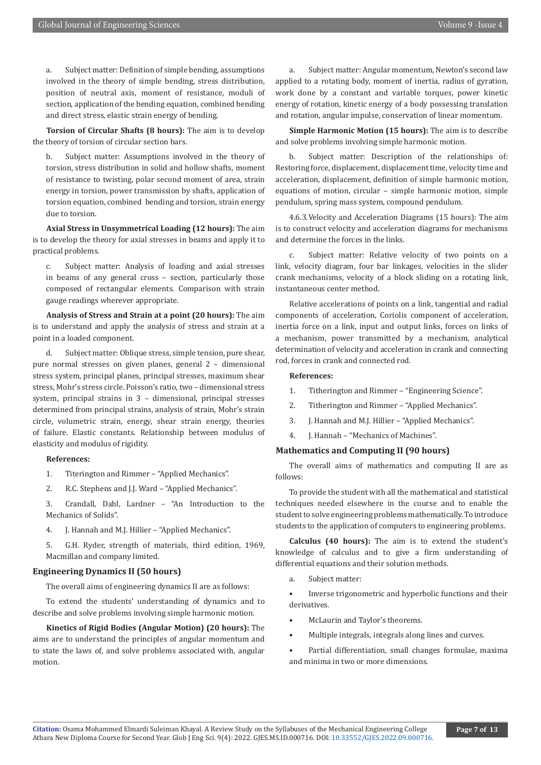a. Subject matter: Definition of simple bending, assumptions involved in the theory of simple bending, stress distribution, position of neutral axis, moment of resistance, moduli of section, application of the bending equation, combined bending and direct stress, elastic strain energy of bending.

**Torsion of Circular Shafts (8 hours):** The aim is to develop the theory of torsion of circular section bars.

b. Subject matter: Assumptions involved in the theory of torsion, stress distribution in solid and hollow shafts, moment of resistance to twisting, polar second moment of area, strain energy in torsion, power transmission by shafts, application of torsion equation, combined bending and torsion, strain energy due to torsion.

**Axial Stress in Unsymmetrical Loading (12 hours):** The aim is to develop the theory for axial stresses in beams and apply it to practical problems.

c. Subject matter: Analysis of loading and axial stresses in beams of any general cross – section, particularly those composed of rectangular elements. Comparison with strain gauge readings wherever appropriate.

**Analysis of Stress and Strain at a point (20 hours):** The aim is to understand and apply the analysis of stress and strain at a point in a loaded component.

d. Subject matter: Oblique stress, simple tension, pure shear, pure normal stresses on given planes, general 2 – dimensional stress system, principal planes, principal stresses, maximum shear stress, Mohr's stress circle. Poisson's ratio, two – dimensional stress system, principal strains in 3 – dimensional, principal stresses determined from principal strains, analysis of strain, Mohr's strain circle, volumetric strain, energy, shear strain energy, theories of failure. Elastic constants. Relationship between modulus of elasticity and modulus of rigidity.

#### **References:**

1. Titerington and Rimmer – "Applied Mechanics".

2. R.C. Stephens and J.J. Ward – "Applied Mechanics".

3. Crandall, Dahl, Lardner – "An Introduction to the Mechanics of Solids".

4. J. Hannah and M.J. Hillier – "Applied Mechanics".

5. G.H. Ryder, strength of materials, third edition, 1969, Macmillan and company limited.

### **Engineering Dynamics II (50 hours)**

The overall aims of engineering dynamics II are as follows:

To extend the students' understanding of dynamics and to describe and solve problems involving simple harmonic motion.

**Kinetics of Rigid Bodies (Angular Motion) (20 hours):** The aims are to understand the principles of angular momentum and to state the laws of, and solve problems associated with, angular motion.

a. Subject matter: Angular momentum, Newton's second law applied to a rotating body, moment of inertia, radius of gyration, work done by a constant and variable torques, power kinetic energy of rotation, kinetic energy of a body possessing translation and rotation, angular impulse, conservation of linear momentum.

**Simple Harmonic Motion (15 hours):** The aim is to describe and solve problems involving simple harmonic motion.

b. Subject matter: Description of the relationships of: Restoring force, displacement, displacement time, velocity time and acceleration, displacement, definition of simple harmonic motion, equations of motion, circular – simple harmonic motion, simple pendulum, spring mass system, compound pendulum.

4.6.3.Velocity and Acceleration Diagrams (15 hours): The aim is to construct velocity and acceleration diagrams for mechanisms and determine the forces in the links.

c. Subject matter: Relative velocity of two points on a link, velocity diagram, four bar linkages, velocities in the slider crank mechanisms, velocity of a block sliding on a rotating link, instantaneous center method.

Relative accelerations of points on a link, tangential and radial components of acceleration, Coriolis component of acceleration, inertia force on a link, input and output links, forces on links of a mechanism, power transmitted by a mechanism, analytical determination of velocity and acceleration in crank and connecting rod, forces in crank and connected rod.

#### **References:**

- 1. Titherington and Rimmer "Engineering Science".
- 2. Titherington and Rimmer "Applied Mechanics".
- 3. J. Hannah and M.J. Hillier "Applied Mechanics".
- 4. J. Hannah "Mechanics of Machines".

### **Mathematics and Computing II (90 hours)**

The overall aims of mathematics and computing II are as follows:

To provide the student with all the mathematical and statistical techniques needed elsewhere in the course and to enable the student to solve engineering problems mathematically. To introduce students to the application of computers to engineering problems.

**Calculus (40 hours):** The aim is to extend the student's knowledge of calculus and to give a firm understanding of differential equations and their solution methods.

a. Subject matter:

• Inverse trigonometric and hyperbolic functions and their derivatives.

- McLaurin and Taylor's theorems.
- Multiple integrals, integrals along lines and curves.
- Partial differentiation, small changes formulae, maxima and minima in two or more dimensions.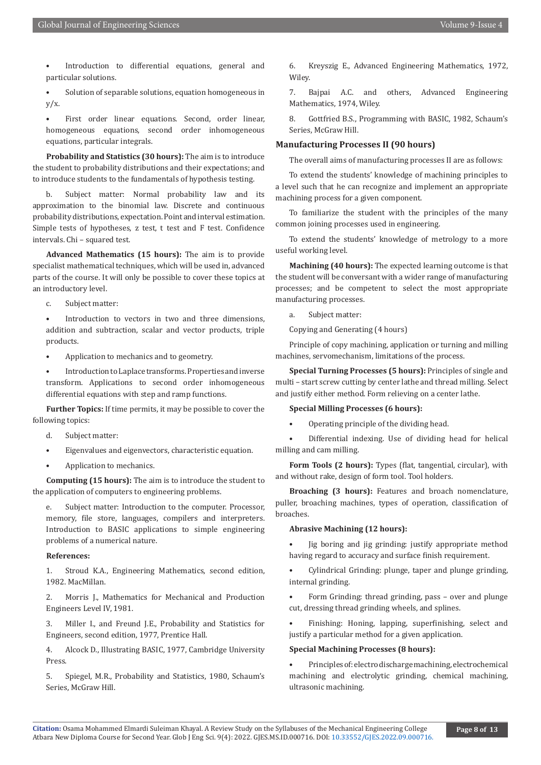Introduction to differential equations, general and particular solutions.

• Solution of separable solutions, equation homogeneous in  $y/x$ .

First order linear equations. Second, order linear, homogeneous equations, second order inhomogeneous equations, particular integrals.

**Probability and Statistics (30 hours):** The aim is to introduce the student to probability distributions and their expectations; and to introduce students to the fundamentals of hypothesis testing.

b. Subject matter: Normal probability law and its approximation to the binomial law. Discrete and continuous probability distributions, expectation. Point and interval estimation. Simple tests of hypotheses, z test, t test and F test. Confidence intervals. Chi – squared test.

**Advanced Mathematics (15 hours):** The aim is to provide specialist mathematical techniques, which will be used in, advanced parts of the course. It will only be possible to cover these topics at an introductory level.

c. Subject matter:

Introduction to vectors in two and three dimensions, addition and subtraction, scalar and vector products, triple products.

• Application to mechanics and to geometry.

• Introduction to Laplace transforms. Properties and inverse transform. Applications to second order inhomogeneous differential equations with step and ramp functions.

**Further Topics:** If time permits, it may be possible to cover the following topics:

- d. Subject matter:
- Eigenvalues and eigenvectors, characteristic equation.
- Application to mechanics.

**Computing (15 hours):** The aim is to introduce the student to the application of computers to engineering problems.

e. Subject matter: Introduction to the computer. Processor, memory, file store, languages, compilers and interpreters. Introduction to BASIC applications to simple engineering problems of a numerical nature.

#### **References:**

1. Stroud K.A., Engineering Mathematics, second edition, 1982. MacMillan.

2. Morris J., Mathematics for Mechanical and Production Engineers Level IV, 1981.

3. Miller I., and Freund J.E., Probability and Statistics for Engineers, second edition, 1977, Prentice Hall.

4. Alcock D., Illustrating BASIC, 1977, Cambridge University Press.

5. Spiegel, M.R., Probability and Statistics, 1980, Schaum's Series, McGraw Hill.

6. Kreyszig E., Advanced Engineering Mathematics, 1972, Wiley.

7. Bajpai A.C. and others, Advanced Engineering Mathematics, 1974, Wiley.

8. Gottfried B.S., Programming with BASIC, 1982, Schaum's Series, McGraw Hill.

#### **Manufacturing Processes II (90 hours)**

The overall aims of manufacturing processes II are as follows:

To extend the students' knowledge of machining principles to a level such that he can recognize and implement an appropriate machining process for a given component.

To familiarize the student with the principles of the many common joining processes used in engineering.

To extend the students' knowledge of metrology to a more useful working level.

**Machining (40 hours):** The expected learning outcome is that the student will be conversant with a wider range of manufacturing processes; and be competent to select the most appropriate manufacturing processes.

a. Subject matter:

Copying and Generating (4 hours)

Principle of copy machining, application or turning and milling machines, servomechanism, limitations of the process.

**Special Turning Processes (5 hours):** Principles of single and multi – start screw cutting by center lathe and thread milling. Select and justify either method. Form relieving on a center lathe.

#### **Special Milling Processes (6 hours):**

• Operating principle of the dividing head.

• Differential indexing. Use of dividing head for helical milling and cam milling.

**Form Tools (2 hours):** Types (flat, tangential, circular), with and without rake, design of form tool. Tool holders.

**Broaching (3 hours):** Features and broach nomenclature, puller, broaching machines, types of operation, classification of broaches.

#### **Abrasive Machining (12 hours):**

• Jig boring and jig grinding: justify appropriate method having regard to accuracy and surface finish requirement.

• Cylindrical Grinding: plunge, taper and plunge grinding, internal grinding.

• Form Grinding: thread grinding, pass – over and plunge cut, dressing thread grinding wheels, and splines.

• Finishing: Honing, lapping, superfinishing, select and justify a particular method for a given application.

#### **Special Machining Processes (8 hours):**

• Principles of: electro discharge machining, electrochemical machining and electrolytic grinding, chemical machining, ultrasonic machining.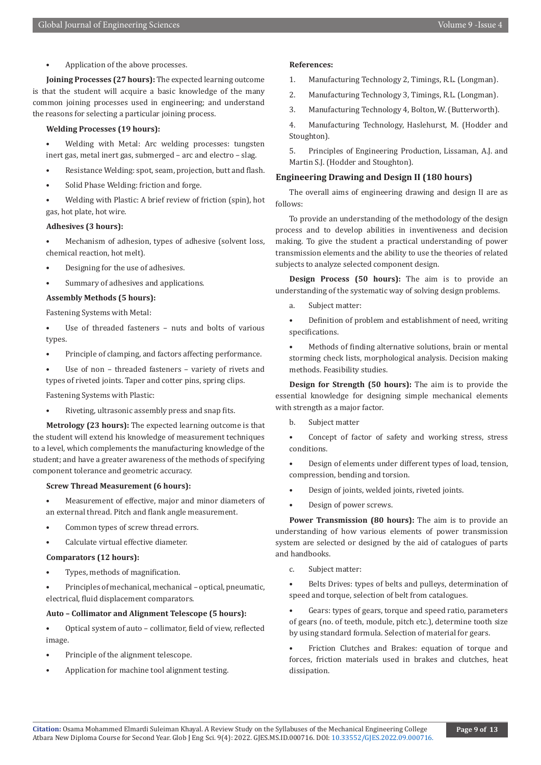• Application of the above processes.

**Joining Processes (27 hours):** The expected learning outcome is that the student will acquire a basic knowledge of the many common joining processes used in engineering; and understand the reasons for selecting a particular joining process.

#### **Welding Processes (19 hours):**

• Welding with Metal: Arc welding processes: tungsten inert gas, metal inert gas, submerged – arc and electro – slag.

- Resistance Welding: spot, seam, projection, butt and flash.
- Solid Phase Welding: friction and forge.
- Welding with Plastic: A brief review of friction (spin), hot gas, hot plate, hot wire.

#### **Adhesives (3 hours):**

Mechanism of adhesion, types of adhesive (solvent loss, chemical reaction, hot melt).

- Designing for the use of adhesives.
- Summary of adhesives and applications.

#### **Assembly Methods (5 hours):**

Fastening Systems with Metal:

- Use of threaded fasteners nuts and bolts of various types.
- Principle of clamping, and factors affecting performance.
- Use of non threaded fasteners variety of rivets and types of riveted joints. Taper and cotter pins, spring clips.

Fastening Systems with Plastic:

Riveting, ultrasonic assembly press and snap fits.

**Metrology (23 hours):** The expected learning outcome is that the student will extend his knowledge of measurement techniques to a level, which complements the manufacturing knowledge of the student; and have a greater awareness of the methods of specifying component tolerance and geometric accuracy.

#### **Screw Thread Measurement (6 hours):**

- Measurement of effective, major and minor diameters of an external thread. Pitch and flank angle measurement.
- Common types of screw thread errors.
- Calculate virtual effective diameter.

#### **Comparators (12 hours):**

• Types, methods of magnification.

• Principles of mechanical, mechanical – optical, pneumatic, electrical, fluid displacement comparators.

#### **Auto – Collimator and Alignment Telescope (5 hours):**

• Optical system of auto – collimator, field of view, reflected image.

- Principle of the alignment telescope.
- Application for machine tool alignment testing.

#### **References:**

- 1. Manufacturing Technology 2, Timings, R.L. (Longman).
- 2. Manufacturing Technology 3, Timings, R.L. (Longman).
- 3. Manufacturing Technology 4, Bolton, W. (Butterworth).

4. Manufacturing Technology, Haslehurst, M. (Hodder and Stoughton).

5. Principles of Engineering Production, Lissaman, A.J. and Martin S.J. (Hodder and Stoughton).

#### **Engineering Drawing and Design II (180 hours)**

The overall aims of engineering drawing and design II are as follows:

To provide an understanding of the methodology of the design process and to develop abilities in inventiveness and decision making. To give the student a practical understanding of power transmission elements and the ability to use the theories of related subjects to analyze selected component design.

**Design Process (50 hours):** The aim is to provide an understanding of the systematic way of solving design problems.

a. Subject matter:

• Definition of problem and establishment of need, writing specifications.

• Methods of finding alternative solutions, brain or mental storming check lists, morphological analysis. Decision making methods. Feasibility studies.

**Design for Strength (50 hours):** The aim is to provide the essential knowledge for designing simple mechanical elements with strength as a major factor.

- b. Subject matter
- Concept of factor of safety and working stress, stress conditions.
- Design of elements under different types of load, tension, compression, bending and torsion.
- Design of joints, welded joints, riveted joints.
- Design of power screws.

**Power Transmission (80 hours):** The aim is to provide an understanding of how various elements of power transmission system are selected or designed by the aid of catalogues of parts and handbooks.

c. Subject matter:

• Belts Drives: types of belts and pulleys, determination of speed and torque, selection of belt from catalogues.

Gears: types of gears, torque and speed ratio, parameters of gears (no. of teeth, module, pitch etc.), determine tooth size by using standard formula. Selection of material for gears.

Friction Clutches and Brakes: equation of torque and forces, friction materials used in brakes and clutches, heat dissipation.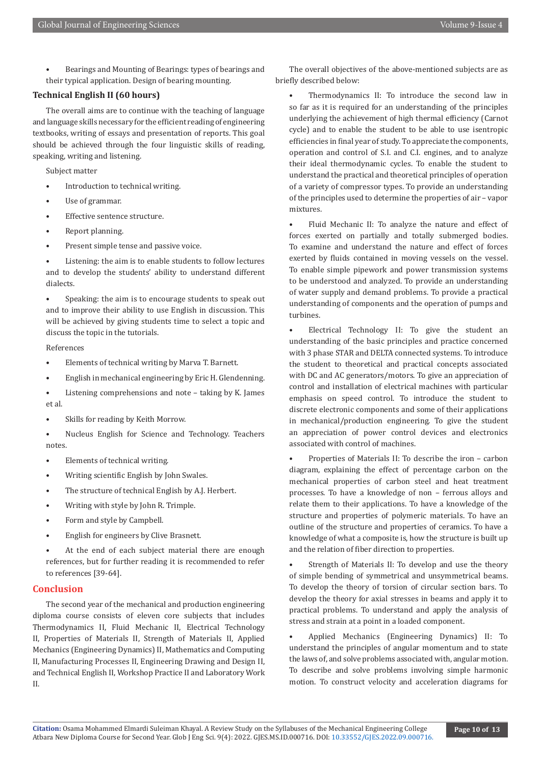• Bearings and Mounting of Bearings: types of bearings and their typical application. Design of bearing mounting.

## **Technical English II (60 hours)**

The overall aims are to continue with the teaching of language and language skills necessary for the efficient reading of engineering textbooks, writing of essays and presentation of reports. This goal should be achieved through the four linguistic skills of reading, speaking, writing and listening.

Subject matter

- Introduction to technical writing.
- Use of grammar.
- Effective sentence structure.
- Report planning.
- Present simple tense and passive voice.

Listening: the aim is to enable students to follow lectures and to develop the students' ability to understand different dialects.

Speaking: the aim is to encourage students to speak out and to improve their ability to use English in discussion. This will be achieved by giving students time to select a topic and discuss the topic in the tutorials.

#### References

- Elements of technical writing by Marva T. Barnett.
- English in mechanical engineering by Eric H. Glendenning.
- Listening comprehensions and note taking by K. James et al.
- Skills for reading by Keith Morrow.
- Nucleus English for Science and Technology. Teachers notes.
- Elements of technical writing.
- Writing scientific English by John Swales.
- The structure of technical English by A.J. Herbert.
- Writing with style by John R. Trimple.
- Form and style by Campbell.
- English for engineers by Clive Brasnett.

At the end of each subject material there are enough references, but for further reading it is recommended to refer to references [39-64].

# **Conclusion**

The second year of the mechanical and production engineering diploma course consists of eleven core subjects that includes Thermodynamics II, Fluid Mechanic II, Electrical Technology II, Properties of Materials II, Strength of Materials II, Applied Mechanics (Engineering Dynamics) II, Mathematics and Computing II, Manufacturing Processes II, Engineering Drawing and Design II, and Technical English II, Workshop Practice II and Laboratory Work II.

The overall objectives of the above-mentioned subjects are as briefly described below:

• Thermodynamics II: To introduce the second law in so far as it is required for an understanding of the principles underlying the achievement of high thermal efficiency (Carnot cycle) and to enable the student to be able to use isentropic efficiencies in final year of study. To appreciate the components, operation and control of S.I. and C.I. engines, and to analyze their ideal thermodynamic cycles. To enable the student to understand the practical and theoretical principles of operation of a variety of compressor types. To provide an understanding of the principles used to determine the properties of air – vapor mixtures.

• Fluid Mechanic II: To analyze the nature and effect of forces exerted on partially and totally submerged bodies. To examine and understand the nature and effect of forces exerted by fluids contained in moving vessels on the vessel. To enable simple pipework and power transmission systems to be understood and analyzed. To provide an understanding of water supply and demand problems. To provide a practical understanding of components and the operation of pumps and turbines.

• Electrical Technology II: To give the student an understanding of the basic principles and practice concerned with 3 phase STAR and DELTA connected systems. To introduce the student to theoretical and practical concepts associated with DC and AC generators/motors. To give an appreciation of control and installation of electrical machines with particular emphasis on speed control. To introduce the student to discrete electronic components and some of their applications in mechanical/production engineering. To give the student an appreciation of power control devices and electronics associated with control of machines.

• Properties of Materials II: To describe the iron – carbon diagram, explaining the effect of percentage carbon on the mechanical properties of carbon steel and heat treatment processes. To have a knowledge of non – ferrous alloys and relate them to their applications. To have a knowledge of the structure and properties of polymeric materials. To have an outline of the structure and properties of ceramics. To have a knowledge of what a composite is, how the structure is built up and the relation of fiber direction to properties.

Strength of Materials II: To develop and use the theory of simple bending of symmetrical and unsymmetrical beams. To develop the theory of torsion of circular section bars. To develop the theory for axial stresses in beams and apply it to practical problems. To understand and apply the analysis of stress and strain at a point in a loaded component.

• Applied Mechanics (Engineering Dynamics) II: To understand the principles of angular momentum and to state the laws of, and solve problems associated with, angular motion. To describe and solve problems involving simple harmonic motion. To construct velocity and acceleration diagrams for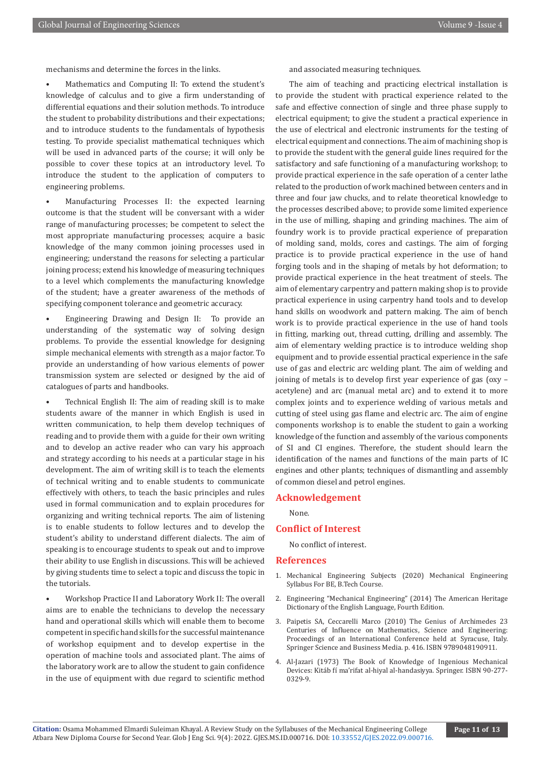mechanisms and determine the forces in the links.

• Mathematics and Computing II: To extend the student's knowledge of calculus and to give a firm understanding of differential equations and their solution methods. To introduce the student to probability distributions and their expectations; and to introduce students to the fundamentals of hypothesis testing. To provide specialist mathematical techniques which will be used in advanced parts of the course; it will only be possible to cover these topics at an introductory level. To introduce the student to the application of computers to engineering problems.

• Manufacturing Processes II: the expected learning outcome is that the student will be conversant with a wider range of manufacturing processes; be competent to select the most appropriate manufacturing processes; acquire a basic knowledge of the many common joining processes used in engineering; understand the reasons for selecting a particular joining process; extend his knowledge of measuring techniques to a level which complements the manufacturing knowledge of the student; have a greater awareness of the methods of specifying component tolerance and geometric accuracy.

• Engineering Drawing and Design II: To provide an understanding of the systematic way of solving design problems. To provide the essential knowledge for designing simple mechanical elements with strength as a major factor. To provide an understanding of how various elements of power transmission system are selected or designed by the aid of catalogues of parts and handbooks.

• Technical English II: The aim of reading skill is to make students aware of the manner in which English is used in written communication, to help them develop techniques of reading and to provide them with a guide for their own writing and to develop an active reader who can vary his approach and strategy according to his needs at a particular stage in his development. The aim of writing skill is to teach the elements of technical writing and to enable students to communicate effectively with others, to teach the basic principles and rules used in formal communication and to explain procedures for organizing and writing technical reports. The aim of listening is to enable students to follow lectures and to develop the student's ability to understand different dialects. The aim of speaking is to encourage students to speak out and to improve their ability to use English in discussions. This will be achieved by giving students time to select a topic and discuss the topic in the tutorials.

• Workshop Practice II and Laboratory Work II: The overall aims are to enable the technicians to develop the necessary hand and operational skills which will enable them to become competent in specific hand skills for the successful maintenance of workshop equipment and to develop expertise in the operation of machine tools and associated plant. The aims of the laboratory work are to allow the student to gain confidence in the use of equipment with due regard to scientific method

and associated measuring techniques.

The aim of teaching and practicing electrical installation is to provide the student with practical experience related to the safe and effective connection of single and three phase supply to electrical equipment; to give the student a practical experience in the use of electrical and electronic instruments for the testing of electrical equipment and connections. The aim of machining shop is to provide the student with the general guide lines required for the satisfactory and safe functioning of a manufacturing workshop; to provide practical experience in the safe operation of a center lathe related to the production of work machined between centers and in three and four jaw chucks, and to relate theoretical knowledge to the processes described above; to provide some limited experience in the use of milling, shaping and grinding machines. The aim of foundry work is to provide practical experience of preparation of molding sand, molds, cores and castings. The aim of forging practice is to provide practical experience in the use of hand forging tools and in the shaping of metals by hot deformation; to provide practical experience in the heat treatment of steels. The aim of elementary carpentry and pattern making shop is to provide practical experience in using carpentry hand tools and to develop hand skills on woodwork and pattern making. The aim of bench work is to provide practical experience in the use of hand tools in fitting, marking out, thread cutting, drilling and assembly. The aim of elementary welding practice is to introduce welding shop equipment and to provide essential practical experience in the safe use of gas and electric arc welding plant. The aim of welding and joining of metals is to develop first year experience of gas (oxy – acetylene) and arc (manual metal arc) and to extend it to more complex joints and to experience welding of various metals and cutting of steel using gas flame and electric arc. The aim of engine components workshop is to enable the student to gain a working knowledge of the function and assembly of the various components of SI and CI engines. Therefore, the student should learn the identification of the names and functions of the main parts of IC engines and other plants; techniques of dismantling and assembly of common diesel and petrol engines.

#### **Acknowledgement**

None.

#### **Conflict of Interest**

No conflict of interest.

#### **References**

- 1. Mechanical Engineering Subjects (2020) Mechanical Engineering Syllabus For BE, B.Tech Course.
- 2. Engineering "Mechanical Engineering" (2014) The American Heritage Dictionary of the English Language, Fourth Edition.
- 3. Paipetis SA, Ceccarelli Marco (2010) The Genius of Archimedes 23 Centuries of Influence on Mathematics, Science and Engineering: Proceedings of an International Conference held at Syracuse, Italy. Springer Science and Business Media. p. 416. ISBN 9789048190911.
- 4. Al-Jazari (1973) The Book of Knowledge of Ingenious Mechanical Devices: Kitáb fí ma'rifat al-hiyal al-handasiyya. Springer. ISBN 90-277- 0329-9.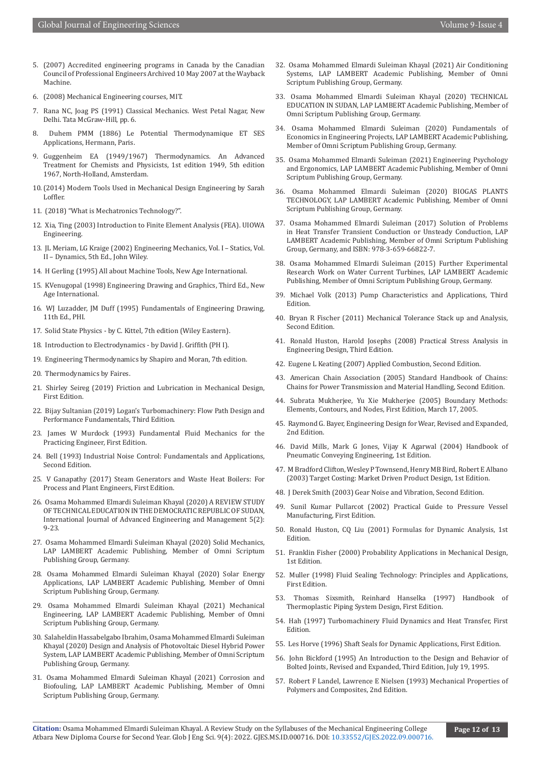- 5. (2007) Accredited engineering programs in Canada by the Canadian Council of Professional Engineers Archived 10 May 2007 at the Wayback Machine.
- 6. (2008) Mechanical Engineering courses, MIT.
- 7. Rana NC, Joag PS (1991) Classical Mechanics. West Petal Nagar, New Delhi. Tata McGraw-Hill, pp. 6.
- 8. Duhem PMM (1886) Le Potential Thermodynamique ET SES Applications, Hermann, Paris.
- 9. Guggenheim EA (1949/1967) Thermodynamics. An Advanced Treatment for Chemists and Physicists, 1st edition 1949, 5th edition 1967, North-Holland, Amsterdam.
- 10.(2014) Modern Tools Used in Mechanical Design Engineering by Sarah Loffler.
- 11. [\(2018\) "What is Mechatronics Technology?".](http://www.ecpi.edu)
- 12. Xia, Ting (2003) Introduction to Finite Element Analysis (FEA). UIOWA Engineering.
- 13. JL Meriam, LG Kraige (2002) Engineering Mechanics, Vol. I Statics, Vol. II – Dynamics, 5th Ed., John Wiley.
- 14. H Gerling (1995) All about Machine Tools, New Age International.
- 15. KVenugopal (1998) Engineering Drawing and Graphics, Third Ed., New Age International.
- 16. WJ Luzadder, JM Duff (1995) Fundamentals of Engineering Drawing, 11th Ed., PHI.
- 17. Solid State Physics by C. Kittel, 7th edition (Wiley Eastern).
- 18. Introduction to Electrodynamics by David J. Griffith (PH I).
- 19. Engineering Thermodynamics by Shapiro and Moran, 7th edition.
- 20. Thermodynamics by Faires.
- 21. Shirley Seireg (2019) Friction and Lubrication in Mechanical Design, First Edition.
- 22. Bijay Sultanian (2019) Logan's Turbomachinery: Flow Path Design and Performance Fundamentals, Third Edition.
- 23. James W Murdock (1993) Fundamental Fluid Mechanics for the Practicing Engineer, First Edition.
- 24. Bell (1993) Industrial Noise Control: Fundamentals and Applications, Second Edition.
- 25. V Ganapathy (2017) Steam Generators and Waste Heat Boilers: For Process and Plant Engineers, First Edition.
- 26. Osama Mohammed Elmardi Suleiman Khayal (2020) A REVIEW STUDY OF TECHNICAL EDUCATION IN THE DEMOCRATIC REPUBLIC OF SUDAN, International Journal of Advanced Engineering and Management 5(2): 9-23.
- 27. Osama Mohammed Elmardi Suleiman Khayal (2020) Solid Mechanics, LAP LAMBERT Academic Publishing, Member of Omni Scriptum Publishing Group, Germany.
- 28. Osama Mohammed Elmardi Suleiman Khayal (2020) Solar Energy Applications, LAP LAMBERT Academic Publishing, Member of Omni Scriptum Publishing Group, Germany.
- 29. Osama Mohammed Elmardi Suleiman Khayal (2021) Mechanical Engineering, LAP LAMBERT Academic Publishing, Member of Omni Scriptum Publishing Group, Germany.
- 30. Salaheldin Hassabelgabo Ibrahim, Osama Mohammed Elmardi Suleiman Khayal (2020) Design and Analysis of Photovoltaic Diesel Hybrid Power System, LAP LAMBERT Academic Publishing, Member of Omni Scriptum Publishing Group, Germany.
- 31. Osama Mohammed Elmardi Suleiman Khayal (2021) Corrosion and Biofouling, LAP LAMBERT Academic Publishing, Member of Omni Scriptum Publishing Group, Germany.
- 32. Osama Mohammed Elmardi Suleiman Khayal (2021) Air Conditioning Systems, LAP LAMBERT Academic Publishing, Member of Omni Scriptum Publishing Group, Germany.
- 33. Osama Mohammed Elmardi Suleiman Khayal (2020) TECHNICAL EDUCATION IN SUDAN, LAP LAMBERT Academic Publishing, Member of Omni Scriptum Publishing Group, Germany.
- 34. Osama Mohammed Elmardi Suleiman (2020) Fundamentals of Economics in Engineering Projects, LAP LAMBERT Academic Publishing, Member of Omni Scriptum Publishing Group, Germany.
- 35. Osama Mohammed Elmardi Suleiman (2021) Engineering Psychology and Ergonomics, LAP LAMBERT Academic Publishing, Member of Omni Scriptum Publishing Group, Germany.
- 36. Osama Mohammed Elmardi Suleiman (2020) BIOGAS PLANTS TECHNOLOGY, LAP LAMBERT Academic Publishing, Member of Omni Scriptum Publishing Group, Germany.
- 37. Osama Mohammed Elmardi Suleiman (2017) Solution of Problems in Heat Transfer Transient Conduction or Unsteady Conduction, LAP LAMBERT Academic Publishing, Member of Omni Scriptum Publishing Group, Germany, and ISBN: 978-3-659-66822-7.
- 38. Osama Mohammed Elmardi Suleiman (2015) Further Experimental Research Work on Water Current Turbines, LAP LAMBERT Academic Publishing, Member of Omni Scriptum Publishing Group, Germany.
- 39. Michael Volk (2013) Pump Characteristics and Applications, Third Edition.
- 40. Bryan R Fischer (2011) Mechanical Tolerance Stack up and Analysis, Second Edition.
- 41. Ronald Huston, Harold Josephs (2008) Practical Stress Analysis in Engineering Design, Third Edition.
- 42. Eugene L Keating (2007) Applied Combustion, Second Edition.
- 43. American Chain Association (2005) Standard Handbook of Chains: Chains for Power Transmission and Material Handling, Second Edition.
- 44. Subrata Mukherjee, Yu Xie Mukherjee (2005) Boundary Methods: Elements, Contours, and Nodes, First Edition, March 17, 2005.
- 45. Raymond G. Bayer, Engineering Design for Wear, Revised and Expanded, 2nd Edition.
- 46. David Mills, Mark G Jones, Vijay K Agarwal (2004) Handbook of Pneumatic Conveying Engineering, 1st Edition.
- 47. M Bradford Clifton, Wesley P Townsend, Henry MB Bird, Robert E Albano (2003) Target Costing: Market Driven Product Design, 1st Edition.
- 48. J Derek Smith (2003) Gear Noise and Vibration, Second Edition.
- 49. Sunil Kumar Pullarcot (2002) Practical Guide to Pressure Vessel Manufacturing, First Edition.
- 50. Ronald Huston, CQ Liu (2001) Formulas for Dynamic Analysis, 1st Edition.
- 51. Franklin Fisher (2000) Probability Applications in Mechanical Design, 1st Edition.
- 52. Muller (1998) Fluid Sealing Technology: Principles and Applications, First Edition.
- 53. Thomas Sixsmith, Reinhard Hanselka (1997) Handbook of Thermoplastic Piping System Design, First Edition.
- 54. Hah (1997) Turbomachinery Fluid Dynamics and Heat Transfer, First Edition.
- 55. Les Horve (1996) Shaft Seals for Dynamic Applications, First Edition.
- 56. John Bickford (1995) An Introduction to the Design and Behavior of Bolted Joints, Revised and Expanded, Third Edition, July 19, 1995.
- 57. Robert F Landel, Lawrence E Nielsen (1993) Mechanical Properties of Polymers and Composites, 2nd Edition.